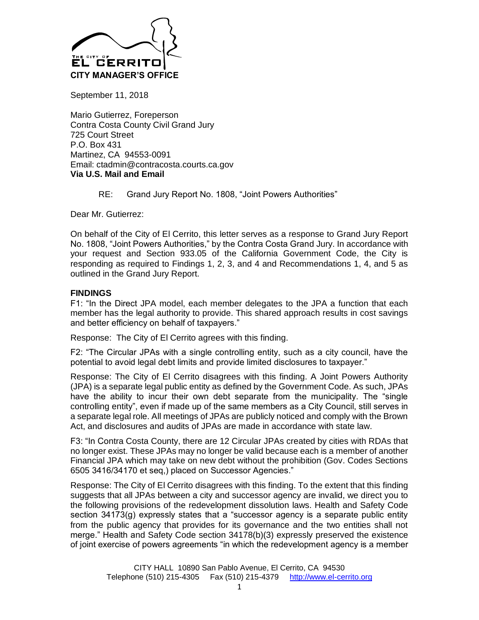

September 11, 2018

Mario Gutierrez, Foreperson Contra Costa County Civil Grand Jury 725 Court Street P.O. Box 431 Martinez, CA 94553-0091 Email: ctadmin@contracosta.courts.ca.gov **Via U.S. Mail and Email**

RE: Grand Jury Report No. 1808, "Joint Powers Authorities"

Dear Mr. Gutierrez:

On behalf of the City of El Cerrito, this letter serves as a response to Grand Jury Report No. 1808, "Joint Powers Authorities," by the Contra Costa Grand Jury. In accordance with your request and Section 933.05 of the California Government Code, the City is responding as required to Findings 1, 2, 3, and 4 and Recommendations 1, 4, and 5 as outlined in the Grand Jury Report.

## **FINDINGS**

F1: "In the Direct JPA model, each member delegates to the JPA a function that each member has the legal authority to provide. This shared approach results in cost savings and better efficiency on behalf of taxpayers."

Response: The City of El Cerrito agrees with this finding.

F2: "The Circular JPAs with a single controlling entity, such as a city council, have the potential to avoid legal debt limits and provide limited disclosures to taxpayer."

Response: The City of El Cerrito disagrees with this finding. A Joint Powers Authority (JPA) is a separate legal public entity as defined by the Government Code. As such, JPAs have the ability to incur their own debt separate from the municipality. The "single controlling entity", even if made up of the same members as a City Council, still serves in a separate legal role. All meetings of JPAs are publicly noticed and comply with the Brown Act, and disclosures and audits of JPAs are made in accordance with state law.

F3: "In Contra Costa County, there are 12 Circular JPAs created by cities with RDAs that no longer exist. These JPAs may no longer be valid because each is a member of another Financial JPA which may take on new debt without the prohibition (Gov. Codes Sections 6505 3416/34170 et seq,) placed on Successor Agencies."

Response: The City of El Cerrito disagrees with this finding. To the extent that this finding suggests that all JPAs between a city and successor agency are invalid, we direct you to the following provisions of the redevelopment dissolution laws. Health and Safety Code section 34173(g) expressly states that a "successor agency is a separate public entity from the public agency that provides for its governance and the two entities shall not merge." Health and Safety Code section 34178(b)(3) expressly preserved the existence of joint exercise of powers agreements "in which the redevelopment agency is a member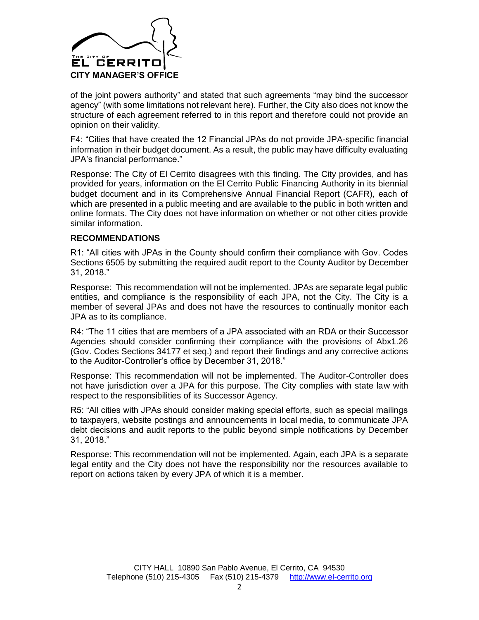

of the joint powers authority" and stated that such agreements "may bind the successor agency" (with some limitations not relevant here). Further, the City also does not know the structure of each agreement referred to in this report and therefore could not provide an opinion on their validity.

F4: "Cities that have created the 12 Financial JPAs do not provide JPA-specific financial information in their budget document. As a result, the public may have difficulty evaluating JPA's financial performance."

Response: The City of El Cerrito disagrees with this finding. The City provides, and has provided for years, information on the El Cerrito Public Financing Authority in its biennial budget document and in its Comprehensive Annual Financial Report (CAFR), each of which are presented in a public meeting and are available to the public in both written and online formats. The City does not have information on whether or not other cities provide similar information.

## **RECOMMENDATIONS**

R1: "All cities with JPAs in the County should confirm their compliance with Gov. Codes Sections 6505 by submitting the required audit report to the County Auditor by December 31, 2018."

Response: This recommendation will not be implemented. JPAs are separate legal public entities, and compliance is the responsibility of each JPA, not the City. The City is a member of several JPAs and does not have the resources to continually monitor each JPA as to its compliance.

R4: "The 11 cities that are members of a JPA associated with an RDA or their Successor Agencies should consider confirming their compliance with the provisions of Abx1.26 (Gov. Codes Sections 34177 et seq.) and report their findings and any corrective actions to the Auditor-Controller's office by December 31, 2018."

Response: This recommendation will not be implemented. The Auditor-Controller does not have jurisdiction over a JPA for this purpose. The City complies with state law with respect to the responsibilities of its Successor Agency.

R5: "All cities with JPAs should consider making special efforts, such as special mailings to taxpayers, website postings and announcements in local media, to communicate JPA debt decisions and audit reports to the public beyond simple notifications by December 31, 2018."

Response: This recommendation will not be implemented. Again, each JPA is a separate legal entity and the City does not have the responsibility nor the resources available to report on actions taken by every JPA of which it is a member.